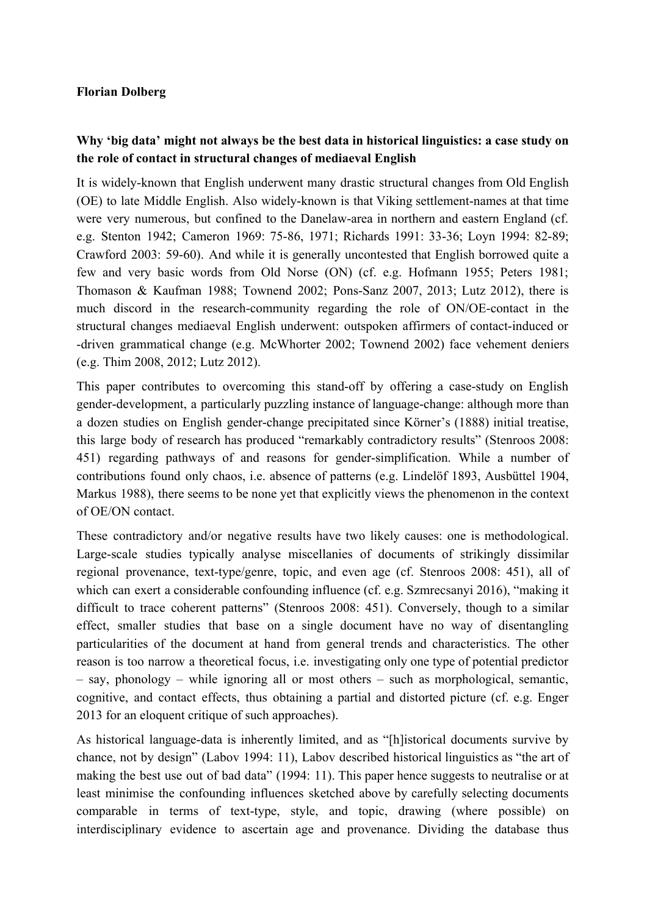## **Florian Dolberg**

## **Why 'big data' might not always be the best data in historical linguistics: a case study on the role of contact in structural changes of mediaeval English**

It is widely-known that English underwent many drastic structural changes from Old English (OE) to late Middle English. Also widely-known is that Viking settlement-names at that time were very numerous, but confined to the Danelaw-area in northern and eastern England (cf. e.g. Stenton 1942; Cameron 1969: 75-86, 1971; Richards 1991: 33-36; Loyn 1994: 82-89; Crawford 2003: 59-60). And while it is generally uncontested that English borrowed quite a few and very basic words from Old Norse (ON) (cf. e.g. Hofmann 1955; Peters 1981; Thomason & Kaufman 1988; Townend 2002; Pons-Sanz 2007, 2013; Lutz 2012), there is much discord in the research-community regarding the role of ON/OE-contact in the structural changes mediaeval English underwent: outspoken affirmers of contact-induced or driven grammatical change (e.g. McWhorter 2002; Townend 2002) face vehement deniers (e.g. Thim 2008, 2012; Lutz 2012).

This paper contributes to overcoming this stand-off by offering a case-study on English gender-development, a particularly puzzling instance of language-change: although more than a dozen studies on English gender-change precipitated since Körner's (1888) initial treatise, this large body of research has produced "remarkably contradictory results" (Stenroos 2008: 451) regarding pathways of and reasons for gender-simplification. While a number of contributions found only chaos, i.e. absence of patterns (e.g. Lindelöf 1893, Ausbüttel 1904, Markus 1988), there seems to be none yet that explicitly views the phenomenon in the context of OE/ON contact.

These contradictory and/or negative results have two likely causes: one is methodological. Large-scale studies typically analyse miscellanies of documents of strikingly dissimilar regional provenance, text-type/genre, topic, and even age (cf. Stenroos 2008: 451), all of which can exert a considerable confounding influence (cf. e.g. Szmrecsanyi 2016), "making it difficult to trace coherent patterns" (Stenroos 2008: 451). Conversely, though to a similar effect, smaller studies that base on a single document have no way of disentangling particularities of the document at hand from general trends and characteristics. The other reason is too narrow a theoretical focus, i.e. investigating only one type of potential predictor – say, phonology – while ignoring all or most others – such as morphological, semantic, cognitive, and contact effects, thus obtaining a partial and distorted picture (cf. e.g. Enger 2013 for an eloquent critique of such approaches).

As historical language-data is inherently limited, and as "[h]istorical documents survive by chance, not by design" (Labov 1994: 11), Labov described historical linguistics as "the art of making the best use out of bad data" (1994: 11). This paper hence suggests to neutralise or at least minimise the confounding influences sketched above by carefully selecting documents comparable in terms of text-type, style, and topic, drawing (where possible) on interdisciplinary evidence to ascertain age and provenance. Dividing the database thus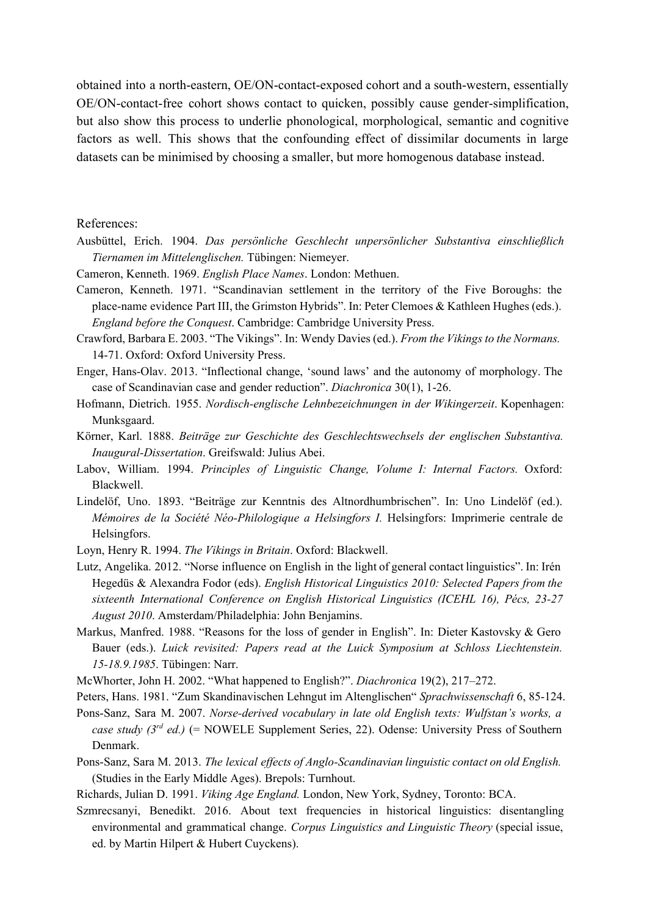obtained into a north-eastern, OE/ON-contact-exposed cohort and a south-western, essentially OE/ON-contact-free cohort shows contact to quicken, possibly cause gender-simplification, but also show this process to underlie phonological, morphological, semantic and cognitive factors as well. This shows that the confounding effect of dissimilar documents in large datasets can be minimised by choosing a smaller, but more homogenous database instead.

## References:

- Ausbüttel, Erich. 1904. *Das persönliche Geschlecht unpersönlicher Substantiva einschließlich Tiernamen im Mittelenglischen.* Tübingen: Niemeyer.
- Cameron, Kenneth. 1969. *English Place Names*. London: Methuen.
- Cameron, Kenneth. 1971. "Scandinavian settlement in the territory of the Five Boroughs: the place-name evidence Part III, the Grimston Hybrids". In: Peter Clemoes & Kathleen Hughes (eds.). *England before the Conquest*. Cambridge: Cambridge University Press.
- Crawford, Barbara E. 2003. "The Vikings". In: Wendy Davies (ed.). *From the Vikings to the Normans.* 1471. Oxford: Oxford University Press.
- Enger, Hans-Olav. 2013. "Inflectional change, 'sound laws' and the autonomy of morphology. The case of Scandinavian case and gender reduction". *Diachronica* 30(1), 126.
- Hofmann, Dietrich. 1955. *Nordischenglische Lehnbezeichnungen in der Wikingerzeit*. Kopenhagen: Munksgaard.
- Körner, Karl. 1888. *Beiträge zur Geschichte des Geschlechtswechsels der englischen Substantiva. Inaugural-Dissertation*. Greifswald: Julius Abei.
- Labov, William. 1994. *Principles of Linguistic Change, Volume I: Internal Factors.* Oxford: Blackwell.
- Lindelöf, Uno. 1893. "Beiträge zur Kenntnis des Altnordhumbrischen". In: Uno Lindelöf (ed.). *Mémoires de la Société NéoPhilologique a Helsingfors I.* Helsingfors: Imprimerie centrale de Helsingfors.
- Loyn, Henry R. 1994. *The Vikings in Britain*. Oxford: Blackwell.
- Lutz, Angelika. 2012. "Norse influence on English in the light of general contact linguistics". In: Irén Hegedüs & Alexandra Fodor (eds). *English Historical Linguistics 2010: Selected Papers from the sixteenth International Conference on English Historical Linguistics (ICEHL 16), Pécs, 2327 August 2010*. Amsterdam/Philadelphia: John Benjamins.
- Markus, Manfred. 1988. "Reasons for the loss of gender in English". In: Dieter Kastovsky & Gero Bauer (eds.). *Luick revisited: Papers read at the Luick Symposium at Schloss Liechtenstein. 1518.9.1985*. Tübingen: Narr.
- McWhorter, John H. 2002. "What happened to English?". *Diachronica* 19(2), 217–272.
- Peters, Hans. 1981. "Zum Skandinavischen Lehngut im Altenglischen" *Sprachwissenschaft* 6, 85124.

PonsSanz, Sara M. 2007. *Norsederived vocabulary in late old English texts: Wulfstan's works, a case study (3rd ed.)* (= NOWELE Supplement Series, 22). Odense: University Press of Southern Denmark.

- PonsSanz, Sara M. 2013. *The lexical ef ects of AngloScandinavian linguistic contact on old English.* (Studies in the Early Middle Ages). Brepols: Turnhout.
- Richards, Julian D. 1991. *Viking Age England.* London, New York, Sydney, Toronto: BCA.
- Szmrecsanyi, Benedikt. 2016. About text frequencies in historical linguistics: disentangling environmental and grammatical change. *Corpus Linguistics and Linguistic Theory* (special issue, ed. by Martin Hilpert & Hubert Cuyckens).